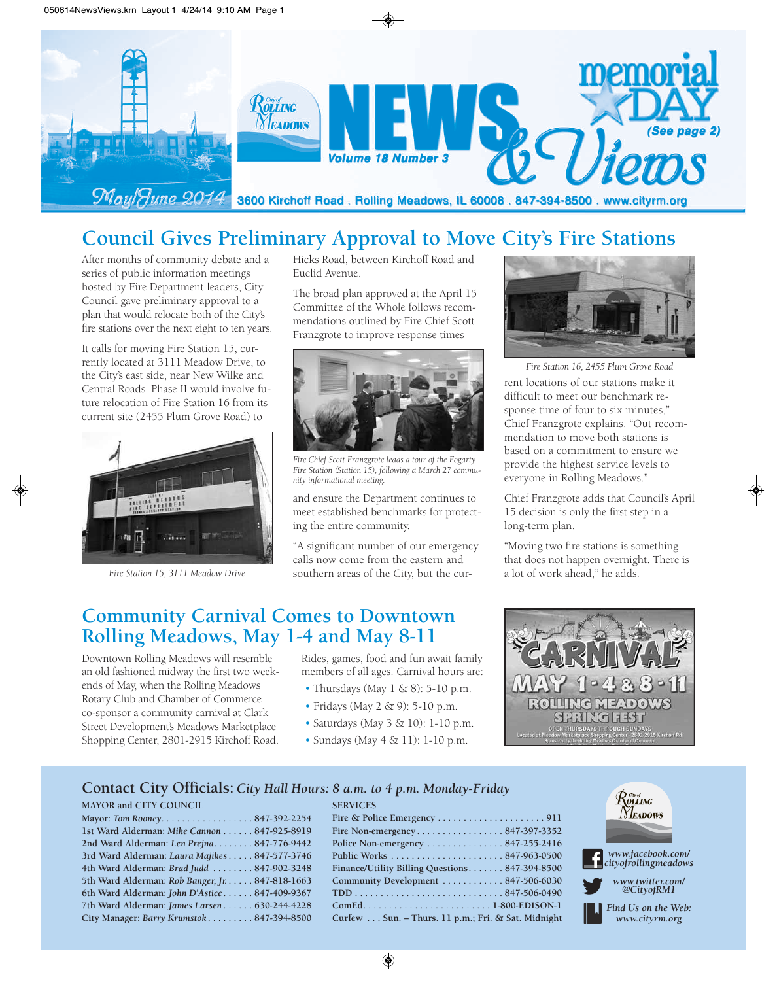

# **Council Gives Preliminary Approval to Move City's Fire Stations**

After months of community debate and a series of public information meetings hosted by Fire Department leaders, City Council gave preliminary approval to a plan that would relocate both of the City's fire stations over the next eight to ten years.

It calls for moving Fire Station 15, currently located at 3111 Meadow Drive, to the City's east side, near New Wilke and Central Roads. Phase II would involve future relocation of Fire Station 16 from its current site (2455 Plum Grove Road) to



*Fire Station 15, 3111 Meadow Drive*

Hicks Road, between Kirchoff Road and Euclid Avenue.

The broad plan approved at the April 15 Committee of the Whole follows recommendations outlined by Fire Chief Scott Franzgrote to improve response times



*Fire Chief Scott Franzgrote leads a tour of the Fogarty Fire Station (Station 15), following a March 27 community informational meeting.*

and ensure the Department continues to meet established benchmarks for protecting the entire community.

"A significant number of our emergency calls now come from the eastern and southern areas of the City, but the cur-



rent locations of our stations make it difficult to meet our benchmark response time of four to six minutes," Chief Franzgrote explains. "Out recommendation to move both stations is based on a commitment to ensure we provide the highest service levels to everyone in Rolling Meadows." *Fire Station 16, 2455 Plum Grove Road*

Chief Franzgrote adds that Council's April 15 decision is only the first step in a long-term plan.

"Moving two fire stations is something that does not happen overnight. There is a lot of work ahead," he adds.

## **Community Carnival Comes to Downtown Rolling Meadows, May 1-4 and May 8-11**

Downtown Rolling Meadows will resemble an old fashioned midway the first two weekends of May, when the Rolling Meadows Rotary Club and Chamber of Commerce co-sponsor a community carnival at Clark Street Development's Meadows Marketplace Shopping Center, 2801-2915 Kirchoff Road.

Rides, games, food and fun await family members of all ages. Carnival hours are:

- Thursdays (May  $1 \& 8$ ): 5-10 p.m.
- Fridays (May 2 & 9): 5-10 p.m.
- Saturdays (May 3 & 10): 1-10 p.m.
- Sundays (May 4 & 11): 1-10 p.m.

**SERVICES**



#### **Contact City Officials:** *City Hall Hours: 8 a.m. to 4 p.m. Monday-Friday*

#### **MAYOR and CITY COUNCIL**

| Mayor: Tom Rooney847-392-2254                   |  |
|-------------------------------------------------|--|
| 1st Ward Alderman: Mike Cannon 847-925-8919     |  |
| 2nd Ward Alderman: Len Prejna 847-776-9442      |  |
| 3rd Ward Alderman: Laura Majikes 847-577-3746   |  |
| 4th Ward Alderman: Brad Judd 847-902-3248       |  |
| 5th Ward Alderman: Rob Banger, Jr. 847-818-1663 |  |
| 6th Ward Alderman: John D'Astice 847-409-9367   |  |
| 7th Ward Alderman: James Larsen 630-244-4228    |  |
| City Manager: Barry Krumstok 847-394-8500       |  |
|                                                 |  |

| Fire Non-emergency847-397-3352                           |  |
|----------------------------------------------------------|--|
| Police Non-emergency $\dots\dots\dots\dots 847-255-2416$ |  |
|                                                          |  |
| Finance/Utility Billing Questions847-394-8500            |  |
| Community Development 847-506-6030                       |  |
|                                                          |  |
|                                                          |  |
| Curfew Sun. - Thurs. 11 p.m.; Fri. & Sat. Midnight       |  |

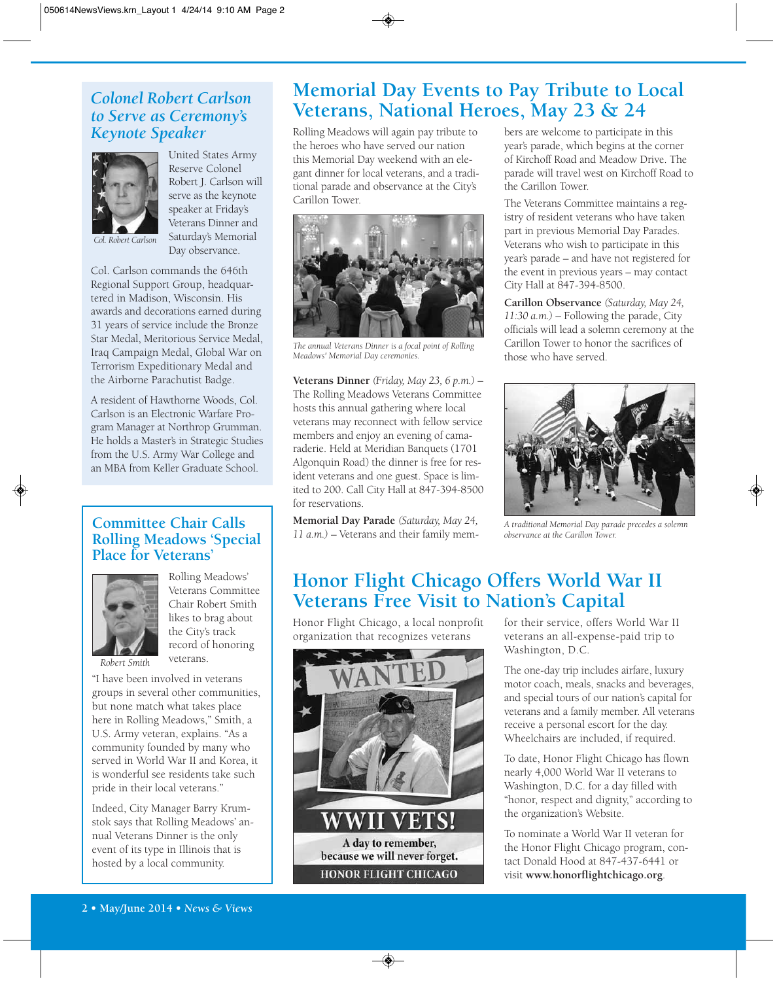## *Colonel Robert Carlson to Serve as Ceremony's Keynote Speaker*



United States Army Reserve Colonel Robert J. Carlson will serve as the keynote speaker at Friday's Veterans Dinner and Saturday's Memorial Day observance.

Col. Carlson commands the 646th Regional Support Group, headquartered in Madison, Wisconsin. His awards and decorations earned during 31 years of service include the Bronze Star Medal, Meritorious Service Medal, Iraq Campaign Medal, Global War on Terrorism Expeditionary Medal and the Airborne Parachutist Badge.

A resident of Hawthorne Woods, Col. Carlson is an Electronic Warfare Program Manager at Northrop Grumman. He holds a Master's in Strategic Studies from the U.S. Army War College and an MBA from Keller Graduate School.

## **Committee Chair Calls Rolling Meadows 'Special Place for Veterans'**



Rolling Meadows' Veterans Committee Chair Robert Smith likes to brag about the City's track record of honoring veterans.

*Robert Smith*

"I have been involved in veterans groups in several other communities, but none match what takes place here in Rolling Meadows," Smith, a U.S. Army veteran, explains. "As a community founded by many who served in World War II and Korea, it is wonderful see residents take such pride in their local veterans."

Indeed, City Manager Barry Krumstok says that Rolling Meadows' annual Veterans Dinner is the only event of its type in Illinois that is hosted by a local community.

## **Memorial Day Events to Pay Tribute to Local Veterans, National Heroes, May 23 & 24**

Rolling Meadows will again pay tribute to the heroes who have served our nation this Memorial Day weekend with an elegant dinner for local veterans, and a traditional parade and observance at the City's Carillon Tower.



*The annual Veterans Dinner is a focal point of Rolling Meadows' Memorial Day ceremonies.*

**Veterans Dinner** *(Friday, May 23, 6 p.m.)* – The Rolling Meadows Veterans Committee hosts this annual gathering where local veterans may reconnect with fellow service members and enjoy an evening of camaraderie. Held at Meridian Banquets (1701 Algonquin Road) the dinner is free for resident veterans and one guest. Space is limited to 200. Call City Hall at 847-394-8500 for reservations.

**Memorial Day Parade** *(Saturday, May 24, 11 a.m.)* – Veterans and their family members are welcome to participate in this year's parade, which begins at the corner of Kirchoff Road and Meadow Drive. The parade will travel west on Kirchoff Road to the Carillon Tower.

The Veterans Committee maintains a registry of resident veterans who have taken part in previous Memorial Day Parades. Veterans who wish to participate in this year's parade – and have not registered for the event in previous years – may contact City Hall at 847-394-8500.

**Carillon Observance** *(Saturday, May 24, 11:30 a.m.)* – Following the parade, City officials will lead a solemn ceremony at the Carillon Tower to honor the sacrifices of those who have served.



*A traditional Memorial Day parade precedes a solemn observance at the Carillon Tower.*

# **Honor Flight Chicago Offers World War II Veterans Free Visit to Nation's Capital**

Honor Flight Chicago, a local nonprofit organization that recognizes veterans



for their service, offers World War II veterans an all-expense-paid trip to Washington, D.C.

The one-day trip includes airfare, luxury motor coach, meals, snacks and beverages, and special tours of our nation's capital for veterans and a family member. All veterans receive a personal escort for the day. Wheelchairs are included, if required.

To date, Honor Flight Chicago has flown nearly 4,000 World War II veterans to Washington, D.C. for a day filled with "honor, respect and dignity," according to the organization's Website.

To nominate a World War II veteran for the Honor Flight Chicago program, contact Donald Hood at 847-437-6441 or visit **www.honorflightchicago.org**.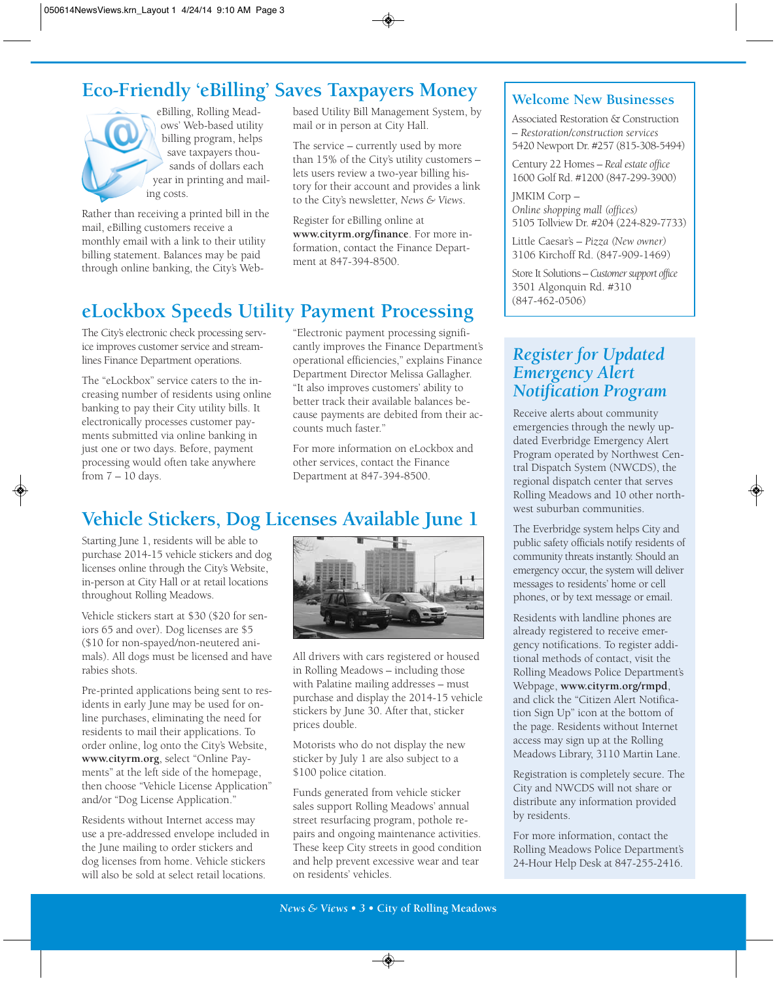# **Eco-Friendly 'eBilling' Saves Taxpayers Money**



eBilling, Rolling Meadows' Web-based utility billing program, helps save taxpayers thousands of dollars each year in printing and mailing costs.

Rather than receiving a printed bill in the mail, eBilling customers receive a monthly email with a link to their utility billing statement. Balances may be paid through online banking, the City's Webbased Utility Bill Management System, by mail or in person at City Hall.

The service – currently used by more than 15% of the City's utility customers – lets users review a two-year billing history for their account and provides a link to the City's newsletter, *News & Views*.

Register for eBilling online at **www.cityrm.org/finance**. For more information, contact the Finance Department at 847-394-8500.

# **eLockbox Speeds Utility Payment Processing**

The City's electronic check processing service improves customer service and streamlines Finance Department operations.

The "eLockbox" service caters to the increasing number of residents using online banking to pay their City utility bills. It electronically processes customer payments submitted via online banking in just one or two days. Before, payment processing would often take anywhere from  $7 - 10$  days.

"Electronic payment processing significantly improves the Finance Department's operational efficiencies," explains Finance Department Director Melissa Gallagher. "It also improves customers' ability to better track their available balances because payments are debited from their accounts much faster."

For more information on eLockbox and other services, contact the Finance Department at 847-394-8500.

# **Vehicle Stickers, Dog Licenses Available June 1**

Starting June 1, residents will be able to purchase 2014-15 vehicle stickers and dog licenses online through the City's Website, in-person at City Hall or at retail locations throughout Rolling Meadows.

Vehicle stickers start at \$30 (\$20 for seniors 65 and over). Dog licenses are \$5 (\$10 for non-spayed/non-neutered animals). All dogs must be licensed and have rabies shots.

Pre-printed applications being sent to residents in early June may be used for online purchases, eliminating the need for residents to mail their applications. To order online, log onto the City's Website, **www.cityrm.org**, select "Online Payments" at the left side of the homepage, then choose "Vehicle License Application" and/or "Dog License Application."

Residents without Internet access may use a pre-addressed envelope included in the June mailing to order stickers and dog licenses from home. Vehicle stickers will also be sold at select retail locations.



All drivers with cars registered or housed in Rolling Meadows – including those with Palatine mailing addresses – must purchase and display the 2014-15 vehicle stickers by June 30. After that, sticker prices double.

Motorists who do not display the new sticker by July 1 are also subject to a \$100 police citation.

Funds generated from vehicle sticker sales support Rolling Meadows' annual street resurfacing program, pothole repairs and ongoing maintenance activities. These keep City streets in good condition and help prevent excessive wear and tear on residents' vehicles.

## **Welcome New Businesses**

Associated Restoration & Construction – *Restoration/construction services* 5420 Newport Dr. #257 (815-308-5494)

Century 22 Homes – *Real estate office* 1600 Golf Rd. #1200 (847-299-3900)

JMKIM Corp – *Online shopping mall (offices)* 5105 Tollview Dr. #204 (224-829-7733)

Little Caesar's – *Pizza (New owner)* 3106 Kirchoff Rd. (847-909-1469)

Store It Solutions – *Customer support office* 3501 Algonquin Rd. #310 (847-462-0506)

## *Register for Updated Emergency Alert Notification Program*

Receive alerts about community emergencies through the newly updated Everbridge Emergency Alert Program operated by Northwest Central Dispatch System (NWCDS), the regional dispatch center that serves Rolling Meadows and 10 other northwest suburban communities.

The Everbridge system helps City and public safety officials notify residents of community threats instantly. Should an emergency occur, the system will deliver messages to residents' home or cell phones, or by text message or email.

Residents with landline phones are already registered to receive emergency notifications. To register additional methods of contact, visit the Rolling Meadows Police Department's Webpage, **www.cityrm.org/rmpd**, and click the "Citizen Alert Notification Sign Up" icon at the bottom of the page. Residents without Internet access may sign up at the Rolling Meadows Library, 3110 Martin Lane.

Registration is completely secure. The City and NWCDS will not share or distribute any information provided by residents.

For more information, contact the Rolling Meadows Police Department's 24-Hour Help Desk at 847-255-2416.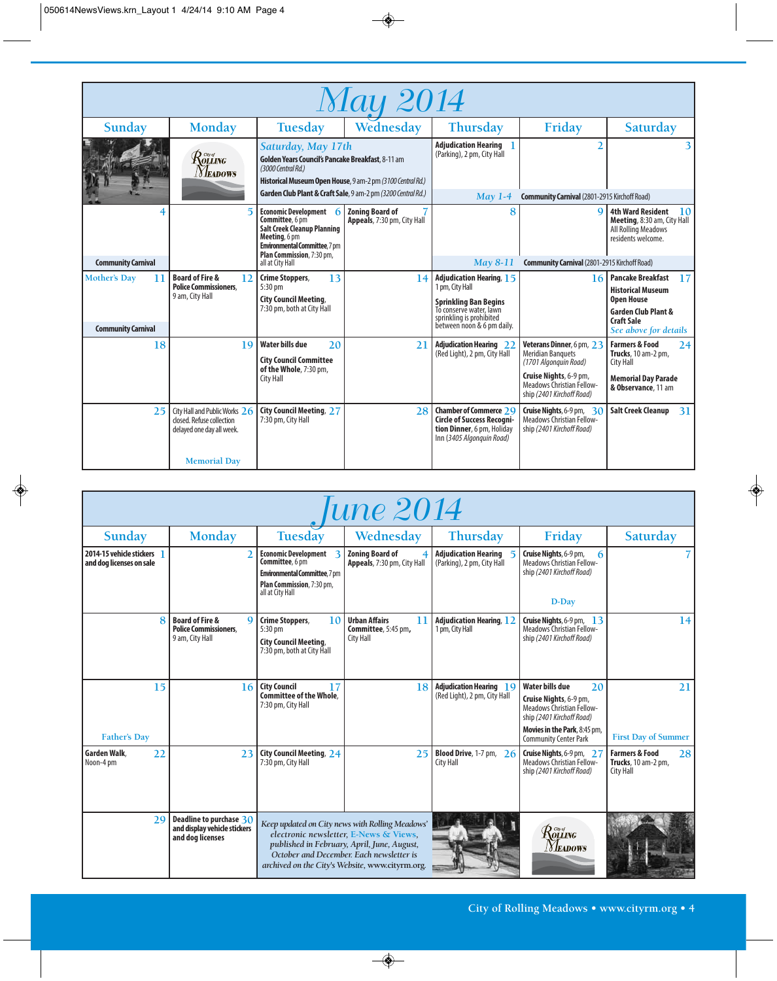| Wednesday<br>Sunday<br><b>Monday</b><br>Tuesday<br>Friday<br>Thursday<br>Saturday<br><b>Adjudication Hearing</b><br>Saturday, May 17th<br>(Parking), 2 pm, City Hall<br>$R$ olling<br>Golden Years Council's Pancake Breakfast, 8-11 am<br>(3000 Central Rd.)<br><b>NEADOWS</b><br>Historical Museum Open House, 9 am-2 pm (3100 Central Rd.)<br>Garden Club Plant & Craft Sale, 9 am-2 pm (3200 Central Rd.)<br>May $1-4$<br><b>Community Carnival</b> (2801-2915 Kirchoff Road)<br>Economic Development 6<br><b>Zoning Board of</b><br><b>4th Ward Resident</b><br>8<br>Q<br>Committee, 6 pm<br>Appeals, 7:30 pm, City Hall<br>Meeting, 8:30 am, City Hall<br><b>Salt Creek Cleanup Planning</b><br><b>All Rolling Meadows</b><br>Meeting, 6 pm<br>residents welcome.<br><b>Environmental Committee, 7 pm</b><br>Plan Commission, 7:30 pm,<br><b>Community Carnival</b><br>May 8-11<br>all at City Hall<br><b>Community Carnival (2801-2915 Kirchoff Road)</b><br>13<br><b>Mother's Day</b><br><b>Board of Fire &amp;</b><br><b>Crime Stoppers,</b><br><b>Adjudication Hearing, 15</b><br><b>Pancake Breakfast</b><br>11<br>12<br>14<br>16<br><b>Police Commissioners.</b><br>1 pm, City Hall<br>5:30 pm<br><b>Historical Museum</b><br>9 am, City Hall<br><b>City Council Meeting,</b><br><b>Open House</b><br><b>Sprinkling Ban Begins</b><br>7:30 pm, both at City Hall | <b>May 2014</b> |  |  |  |  |  |  |  |  |  |  |
|------------------------------------------------------------------------------------------------------------------------------------------------------------------------------------------------------------------------------------------------------------------------------------------------------------------------------------------------------------------------------------------------------------------------------------------------------------------------------------------------------------------------------------------------------------------------------------------------------------------------------------------------------------------------------------------------------------------------------------------------------------------------------------------------------------------------------------------------------------------------------------------------------------------------------------------------------------------------------------------------------------------------------------------------------------------------------------------------------------------------------------------------------------------------------------------------------------------------------------------------------------------------------------------------------------------------------------------------------------------------------|-----------------|--|--|--|--|--|--|--|--|--|--|
|                                                                                                                                                                                                                                                                                                                                                                                                                                                                                                                                                                                                                                                                                                                                                                                                                                                                                                                                                                                                                                                                                                                                                                                                                                                                                                                                                                              |                 |  |  |  |  |  |  |  |  |  |  |
|                                                                                                                                                                                                                                                                                                                                                                                                                                                                                                                                                                                                                                                                                                                                                                                                                                                                                                                                                                                                                                                                                                                                                                                                                                                                                                                                                                              |                 |  |  |  |  |  |  |  |  |  |  |
|                                                                                                                                                                                                                                                                                                                                                                                                                                                                                                                                                                                                                                                                                                                                                                                                                                                                                                                                                                                                                                                                                                                                                                                                                                                                                                                                                                              |                 |  |  |  |  |  |  |  |  |  |  |
|                                                                                                                                                                                                                                                                                                                                                                                                                                                                                                                                                                                                                                                                                                                                                                                                                                                                                                                                                                                                                                                                                                                                                                                                                                                                                                                                                                              | <b>10</b>       |  |  |  |  |  |  |  |  |  |  |
|                                                                                                                                                                                                                                                                                                                                                                                                                                                                                                                                                                                                                                                                                                                                                                                                                                                                                                                                                                                                                                                                                                                                                                                                                                                                                                                                                                              |                 |  |  |  |  |  |  |  |  |  |  |
|                                                                                                                                                                                                                                                                                                                                                                                                                                                                                                                                                                                                                                                                                                                                                                                                                                                                                                                                                                                                                                                                                                                                                                                                                                                                                                                                                                              | 17              |  |  |  |  |  |  |  |  |  |  |
| To conserve water, lawn<br><b>Garden Club Plant &amp;</b><br>sprinkling is prohibited<br><b>Craft Sale</b><br>between noon & 6 pm daily.<br><b>Community Carnival</b><br>See above for details                                                                                                                                                                                                                                                                                                                                                                                                                                                                                                                                                                                                                                                                                                                                                                                                                                                                                                                                                                                                                                                                                                                                                                               |                 |  |  |  |  |  |  |  |  |  |  |
| <b>Water bills due</b><br>18<br>19<br>20<br><b>Adjudication Hearing 22</b><br>Veterans Dinner, 6 pm, 23<br><b>Farmers &amp; Food</b><br>21<br>(Red Light), 2 pm, City Hall<br><b>Meridian Banquets</b><br><b>Trucks</b> , 10 am-2 pm,<br><b>City Council Committee</b><br>(1701 Algonquin Road)<br>City Hall<br>of the Whole, 7:30 pm,                                                                                                                                                                                                                                                                                                                                                                                                                                                                                                                                                                                                                                                                                                                                                                                                                                                                                                                                                                                                                                       | 24              |  |  |  |  |  |  |  |  |  |  |
| Cruise Nights, 6-9 pm,<br><b>Memorial Day Parade</b><br>City Hall<br>Meadows Christian Fellow-<br>& Observance, 11 am<br>ship (2401 Kirchoff Road)                                                                                                                                                                                                                                                                                                                                                                                                                                                                                                                                                                                                                                                                                                                                                                                                                                                                                                                                                                                                                                                                                                                                                                                                                           |                 |  |  |  |  |  |  |  |  |  |  |
| <b>City Council Meeting, 27</b><br><b>Chamber of Commerce 29</b><br><b>Salt Creek Cleanup</b><br>City Hall and Public Works $26$<br>28<br>Cruise Nights, 6-9 pm, $30$<br>25<br>7:30 pm, City Hall<br><b>Circle of Success Recogni-</b><br><b>Meadows Christian Fellow-</b><br>closed. Refuse collection<br>tion Dinner, 6 pm, Holiday<br>ship (2401 Kirchoff Road)<br>delayed one day all week.<br>Inn (3405 Algonquin Road)<br><b>Memorial Day</b>                                                                                                                                                                                                                                                                                                                                                                                                                                                                                                                                                                                                                                                                                                                                                                                                                                                                                                                          | 31              |  |  |  |  |  |  |  |  |  |  |

| <i> une 2014</i>                                     |                                                                                              |                                                                                                                                          |                                                                                                                                                                                                                                         |                                                                |                                                                                                                                                                                         |                                                                     |  |  |  |
|------------------------------------------------------|----------------------------------------------------------------------------------------------|------------------------------------------------------------------------------------------------------------------------------------------|-----------------------------------------------------------------------------------------------------------------------------------------------------------------------------------------------------------------------------------------|----------------------------------------------------------------|-----------------------------------------------------------------------------------------------------------------------------------------------------------------------------------------|---------------------------------------------------------------------|--|--|--|
| <b>Sunday</b>                                        | <b>Monday</b>                                                                                | <b>Tuesday</b>                                                                                                                           | Wednesday                                                                                                                                                                                                                               | <b>Thursday</b>                                                | Friday                                                                                                                                                                                  | Saturday                                                            |  |  |  |
| 2014-15 vehicle stickers<br>and dog licenses on sale |                                                                                              | <b>Economic Development</b><br>Committee, 6 pm<br><b>Environmental Committee</b> , 7 pm<br>Plan Commission, 7:30 pm,<br>all at City Hall | <b>Zoning Board of</b><br>Appeals, 7:30 pm, City Hall                                                                                                                                                                                   | <b>Adjudication Hearing</b><br>(Parking), 2 pm, City Hall      | Cruise Nights, 6-9 pm,<br>6<br>Meadows Christian Fellow-<br>ship (2401 Kirchoff Road)<br>D-Day                                                                                          |                                                                     |  |  |  |
|                                                      | <b>Board of Fire &amp;</b><br>$\mathbf Q$<br><b>Police Commissioners.</b><br>9 am, City Hall | Crime Stoppers,<br>10<br>5:30 pm<br><b>City Council Meeting,</b><br>7:30 pm, both at City Hall                                           | <b>Urban Affairs</b><br>11<br>Committee, 5:45 pm,<br><b>City Hall</b>                                                                                                                                                                   | <b>Adjudication Hearing, 12</b><br>1 pm, City Hall             | Cruise Nights, 6-9 pm, 13<br><b>Meadows Christian Fellow-</b><br>ship (2401 Kirchoff Road)                                                                                              | 14                                                                  |  |  |  |
| 15<br><b>Father's Day</b>                            | 16                                                                                           | <b>City Council</b><br>17<br><b>Committee of the Whole.</b><br>7:30 pm, City Hall                                                        | 18                                                                                                                                                                                                                                      | <b>Adjudication Hearing 19</b><br>(Red Light), 2 pm, City Hall | <b>Water bills due</b><br>20<br>Cruise Nights, 6-9 pm,<br><b>Meadows Christian Fellow-</b><br>ship (2401 Kirchoff Road)<br>Movies in the Park, 8:45 pm,<br><b>Community Center Park</b> | 21<br><b>First Day of Summer</b>                                    |  |  |  |
| Garden Walk.<br>22<br>Noon-4 pm                      | 23                                                                                           | <b>City Council Meeting, 24</b><br>7:30 pm, City Hall                                                                                    | 25                                                                                                                                                                                                                                      | <b>Blood Drive</b> , 1-7 pm, $26$<br><b>City Hall</b>          | Cruise Nights, 6-9 pm, 27<br><b>Meadows Christian Fellow-</b><br>ship (2401 Kirchoff Road)                                                                                              | <b>Farmers &amp; Food</b><br>28<br>Trucks, 10 am-2 pm,<br>City Hall |  |  |  |
| 29                                                   | Deadline to purchase $30$<br>and display vehicle stickers<br>and dog licenses                |                                                                                                                                          | Keep updated on City news with Rolling Meadows'<br>electronic newsletter, E-News & Views,<br>published in February, April, June, August,<br>October and December. Each newsletter is<br>archived on the City's Website, www.cityrm.org. |                                                                | $\mathcal{R}^{\tiny{{\scriptscriptstyle{{G\!\mathit{w}}}{\scriptscriptstyle{{G\!\mathit{w}}}}}}}_{{\scriptscriptstyle{\rm{GLING}}}}$<br><i>Neadows</i>                                  |                                                                     |  |  |  |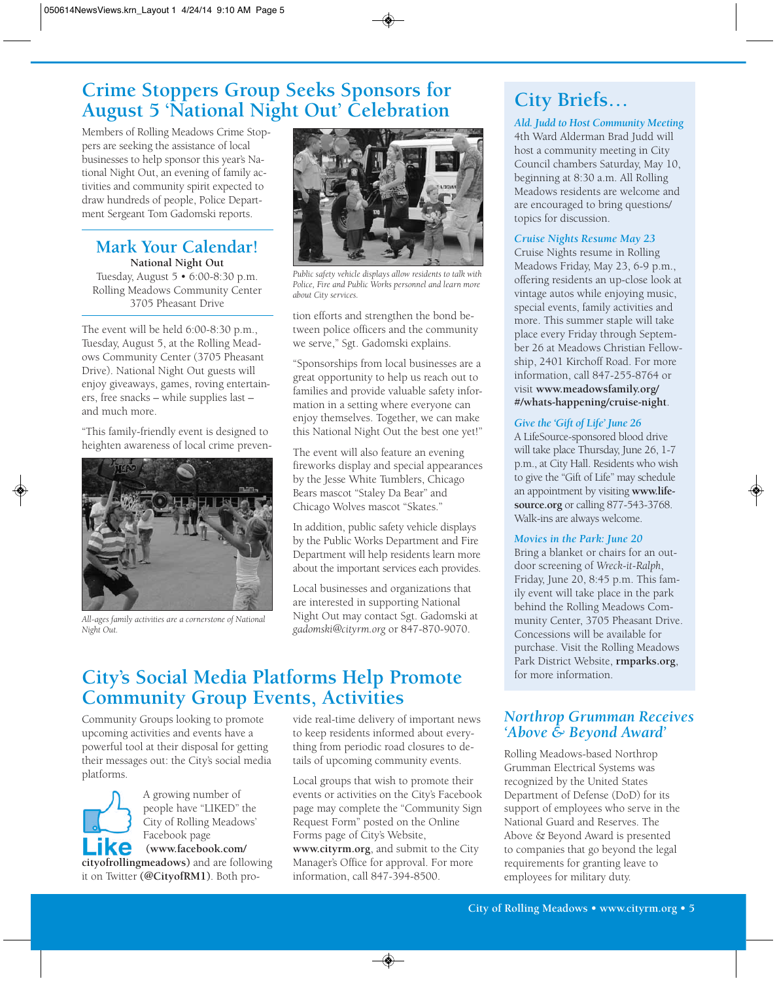# **Crime Stoppers Group Seeks Sponsors for August 5 'National Night Out' Celebration**

Members of Rolling Meadows Crime Stoppers are seeking the assistance of local businesses to help sponsor this year's National Night Out, an evening of family activities and community spirit expected to draw hundreds of people, Police Department Sergeant Tom Gadomski reports.

# **Mark Your Calendar!**

**National Night Out** Tuesday, August 5 • 6:00-8:30 p.m. Rolling Meadows Community Center 3705 Pheasant Drive

The event will be held 6:00-8:30 p.m., Tuesday, August 5, at the Rolling Meadows Community Center (3705 Pheasant Drive). National Night Out guests will enjoy giveaways, games, roving entertainers, free snacks – while supplies last – and much more.

"This family-friendly event is designed to heighten awareness of local crime preven-



*All-ages family activities are a cornerstone of National Night Out.*



*Public safety vehicle displays allow residents to talk with Police, Fire and Public Works personnel and learn more about City services.*

tion efforts and strengthen the bond between police officers and the community we serve," Sgt. Gadomski explains.

"Sponsorships from local businesses are a great opportunity to help us reach out to families and provide valuable safety information in a setting where everyone can enjoy themselves. Together, we can make this National Night Out the best one yet!"

The event will also feature an evening fireworks display and special appearances by the Jesse White Tumblers, Chicago Bears mascot "Staley Da Bear" and Chicago Wolves mascot "Skates."

In addition, public safety vehicle displays by the Public Works Department and Fire Department will help residents learn more about the important services each provides.

Local businesses and organizations that are interested in supporting National Night Out may contact Sgt. Gadomski at *gadomski@cityrm.org* or 847-870-9070.

## **City's Social Media Platforms Help Promote Community Group Events, Activities**

Community Groups looking to promote upcoming activities and events have a powerful tool at their disposal for getting their messages out: the City's social media platforms.



A growing number of people have "LIKED" the City of Rolling Meadows' Facebook page

**(www.facebook.com/ cityofrollingmeadows)** and are following it on Twitter **(@CityofRM1)**. Both provide real-time delivery of important news to keep residents informed about everything from periodic road closures to details of upcoming community events.

Local groups that wish to promote their events or activities on the City's Facebook page may complete the "Community Sign Request Form" posted on the Online Forms page of City's Website, **www.cityrm.org**, and submit to the City Manager's Office for approval. For more information, call 847-394-8500.

# **City Briefs…**

*Ald. Judd to Host Community Meeting* 4th Ward Alderman Brad Judd will host a community meeting in City Council chambers Saturday, May 10, beginning at 8:30 a.m. All Rolling Meadows residents are welcome and are encouraged to bring questions/ topics for discussion.

## *Cruise Nights Resume May 23*

Cruise Nights resume in Rolling Meadows Friday, May 23, 6-9 p.m., offering residents an up-close look at vintage autos while enjoying music, special events, family activities and more. This summer staple will take place every Friday through September 26 at Meadows Christian Fellowship, 2401 Kirchoff Road. For more information, call 847-255-8764 or visit **www.meadowsfamily.org/ #/whats-happening/cruise-night**.

## *Give the 'Gift of Life' June 26*

A LifeSource-sponsored blood drive will take place Thursday, June 26, 1-7 p.m., at City Hall. Residents who wish to give the "Gift of Life" may schedule an appointment by visiting **www.lifesource.org** or calling 877-543-3768. Walk-ins are always welcome.

## *Movies in the Park: June 20*

Bring a blanket or chairs for an outdoor screening of *Wreck-it-Ralph*, Friday, June 20, 8:45 p.m. This family event will take place in the park behind the Rolling Meadows Community Center, 3705 Pheasant Drive. Concessions will be available for purchase. Visit the Rolling Meadows Park District Website, **rmparks.org**, for more information.

## *Northrop Grumman Receives 'Above & Beyond Award'*

Rolling Meadows-based Northrop Grumman Electrical Systems was recognized by the United States Department of Defense (DoD) for its support of employees who serve in the National Guard and Reserves. The Above & Beyond Award is presented to companies that go beyond the legal requirements for granting leave to employees for military duty.